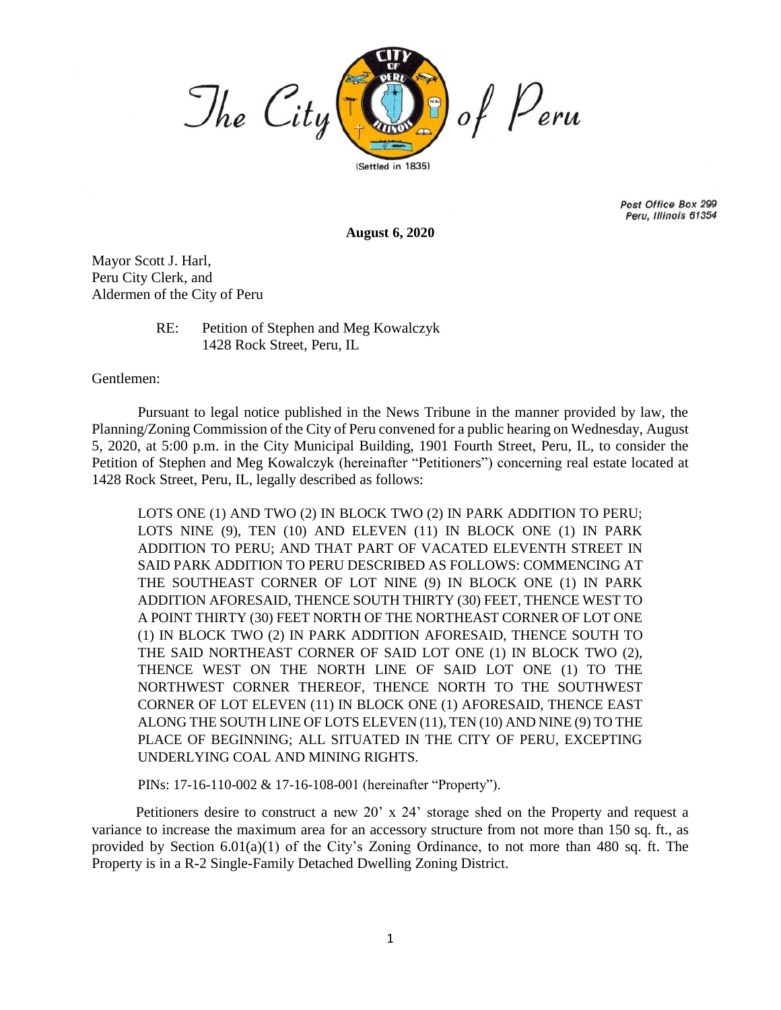

Post Office Box 299 Peru, Illinois 61354

**August 6, 2020**

Mayor Scott J. Harl, Peru City Clerk, and Aldermen of the City of Peru

> RE: Petition of Stephen and Meg Kowalczyk 1428 Rock Street, Peru, IL

Gentlemen:

Pursuant to legal notice published in the News Tribune in the manner provided by law, the Planning/Zoning Commission of the City of Peru convened for a public hearing on Wednesday, August 5, 2020, at 5:00 p.m. in the City Municipal Building, 1901 Fourth Street, Peru, IL, to consider the Petition of Stephen and Meg Kowalczyk (hereinafter "Petitioners") concerning real estate located at 1428 Rock Street, Peru, IL, legally described as follows:

LOTS ONE (1) AND TWO (2) IN BLOCK TWO (2) IN PARK ADDITION TO PERU; LOTS NINE (9), TEN (10) AND ELEVEN (11) IN BLOCK ONE (1) IN PARK ADDITION TO PERU; AND THAT PART OF VACATED ELEVENTH STREET IN SAID PARK ADDITION TO PERU DESCRIBED AS FOLLOWS: COMMENCING AT THE SOUTHEAST CORNER OF LOT NINE (9) IN BLOCK ONE (1) IN PARK ADDITION AFORESAID, THENCE SOUTH THIRTY (30) FEET, THENCE WEST TO A POINT THIRTY (30) FEET NORTH OF THE NORTHEAST CORNER OF LOT ONE (1) IN BLOCK TWO (2) IN PARK ADDITION AFORESAID, THENCE SOUTH TO THE SAID NORTHEAST CORNER OF SAID LOT ONE (1) IN BLOCK TWO (2), THENCE WEST ON THE NORTH LINE OF SAID LOT ONE (1) TO THE NORTHWEST CORNER THEREOF, THENCE NORTH TO THE SOUTHWEST CORNER OF LOT ELEVEN (11) IN BLOCK ONE (1) AFORESAID, THENCE EAST ALONG THE SOUTH LINE OF LOTS ELEVEN (11), TEN (10) AND NINE (9) TO THE PLACE OF BEGINNING; ALL SITUATED IN THE CITY OF PERU, EXCEPTING UNDERLYING COAL AND MINING RIGHTS.

PINs: 17-16-110-002 & 17-16-108-001 (hereinafter "Property").

 Petitioners desire to construct a new 20' x 24' storage shed on the Property and request a variance to increase the maximum area for an accessory structure from not more than 150 sq. ft., as provided by Section  $6.01(a)(1)$  of the City's Zoning Ordinance, to not more than 480 sq. ft. The Property is in a R-2 Single-Family Detached Dwelling Zoning District.